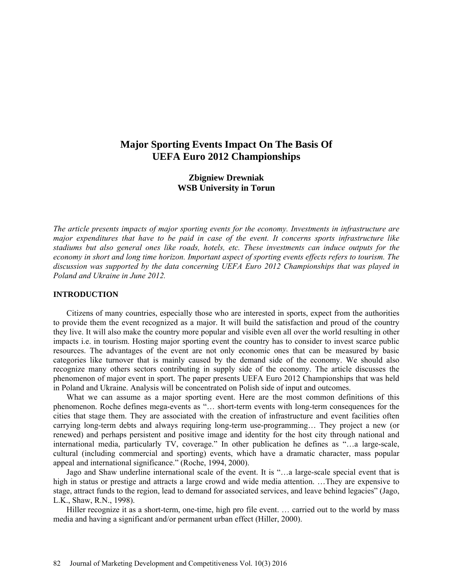# **Major Sporting Events Impact On The Basis Of UEFA Euro 2012 Championships**

# **Zbigniew Drewniak WSB University in Torun**

*The article presents impacts of major sporting events for the economy. Investments in infrastructure are major expenditures that have to be paid in case of the event. It concerns sports infrastructure like stadiums but also general ones like roads, hotels, etc. These investments can induce outputs for the economy in short and long time horizon. Important aspect of sporting events effects refers to tourism. The discussion was supported by the data concerning UEFA Euro 2012 Championships that was played in Poland and Ukraine in June 2012.* 

### **INTRODUCTION**

Citizens of many countries, especially those who are interested in sports, expect from the authorities to provide them the event recognized as a major. It will build the satisfaction and proud of the country they live. It will also make the country more popular and visible even all over the world resulting in other impacts i.e. in tourism. Hosting major sporting event the country has to consider to invest scarce public resources. The advantages of the event are not only economic ones that can be measured by basic categories like turnover that is mainly caused by the demand side of the economy. We should also recognize many others sectors contributing in supply side of the economy. The article discusses the phenomenon of major event in sport. The paper presents UEFA Euro 2012 Championships that was held in Poland and Ukraine. Analysis will be concentrated on Polish side of input and outcomes.

What we can assume as a major sporting event. Here are the most common definitions of this phenomenon. Roche defines mega-events as "… short-term events with long-term consequences for the cities that stage them. They are associated with the creation of infrastructure and event facilities often carrying long-term debts and always requiring long-term use-programming… They project a new (or renewed) and perhaps persistent and positive image and identity for the host city through national and international media, particularly TV, coverage." In other publication he defines as "…a large-scale, cultural (including commercial and sporting) events, which have a dramatic character, mass popular appeal and international significance." (Roche, 1994, 2000).

Jago and Shaw underline international scale of the event. It is "…a large-scale special event that is high in status or prestige and attracts a large crowd and wide media attention. ...They are expensive to stage, attract funds to the region, lead to demand for associated services, and leave behind legacies" (Jago, L.K., Shaw, R.N., 1998).

Hiller recognize it as a short-term, one-time, high pro file event. ... carried out to the world by mass media and having a significant and/or permanent urban effect (Hiller, 2000).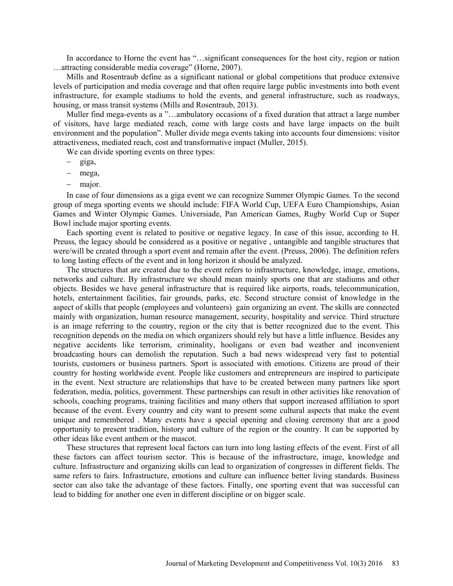In accordance to Horne the event has "…significant consequences for the host city, region or nation …attracting considerable media coverage" (Horne, 2007).

Mills and Rosentraub define as a significant national or global competitions that produce extensive levels of participation and media coverage and that often require large public investments into both event infrastructure, for example stadiums to hold the events, and general infrastructure, such as roadways, housing, or mass transit systems (Mills and Rosentraub, 2013).

Muller find mega-events as a "…ambulatory occasions of a fixed duration that attract a large number of visitors, have large mediated reach, come with large costs and have large impacts on the built environment and the population". Muller divide mega events taking into accounts four dimensions: visitor attractiveness, mediated reach, cost and transformative impact (Muller, 2015).

We can divide sporting events on three types:

- $-$  giga,
- mega,
- major.

In case of four dimensions as a giga event we can recognize Summer Olympic Games. To the second group of mega sporting events we should include: FIFA World Cup, UEFA Euro Championships, Asian Games and Winter Olympic Games. Universiade, Pan American Games, Rugby World Cup or Super Bowl include major sporting events.

Each sporting event is related to positive or negative legacy. In case of this issue, according to H. Preuss, the legacy should be considered as a positive or negative , untangible and tangible structures that were/will be created through a sport event and remain after the event. (Preuss, 2006). The definition refers to long lasting effects of the event and in long horizon it should be analyzed.

The structures that are created due to the event refers to infrastructure, knowledge, image, emotions, networks and culture. By infrastructure we should mean mainly sports one that are stadiums and other objects. Besides we have general infrastructure that is required like airports, roads, telecommunication, hotels, entertainment facilities, fair grounds, parks, etc. Second structure consist of knowledge in the aspect of skills that people (employees and volunteers) gain organizing an event. The skills are connected mainly with organization, human resource management, security, hospitality and service. Third structure is an image referring to the country, region or the city that is better recognized due to the event. This recognition depends on the media on which organizers should rely but have a little influence. Besides any negative accidents like terrorism, criminality, hooligans or even bad weather and inconvenient broadcasting hours can demolish the reputation. Such a bad news widespread very fast to potential tourists, customers or business partners. Sport is associated with emotions. Citizens are proud of their country for hosting worldwide event. People like customers and entrepreneurs are inspired to participate in the event. Next structure are relationships that have to be created between many partners like sport federation, media, politics, government. These partnerships can result in other activities like renovation of schools, coaching programs, training facilities and many others that support increased affiliation to sport because of the event. Every country and city want to present some cultural aspects that make the event unique and remembered . Many events have a special opening and closing ceremony that are a good opportunity to present tradition, history and culture of the region or the country. It can be supported by other ideas like event anthem or the mascot.

These structures that represent local factors can turn into long lasting effects of the event. First of all these factors can affect tourism sector. This is because of the infrastructure, image, knowledge and culture. Infrastructure and organizing skills can lead to organization of congresses in different fields. The same refers to fairs. Infrastructure, emotions and culture can influence better living standards. Business sector can also take the advantage of these factors. Finally, one sporting event that was successful can lead to bidding for another one even in different discipline or on bigger scale.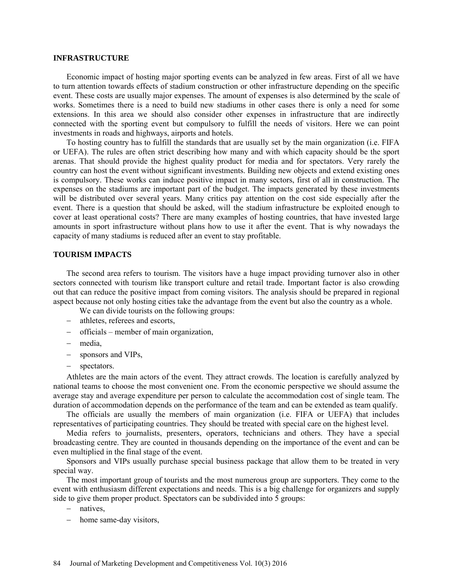#### **INFRASTRUCTURE**

Economic impact of hosting major sporting events can be analyzed in few areas. First of all we have to turn attention towards effects of stadium construction or other infrastructure depending on the specific event. These costs are usually major expenses. The amount of expenses is also determined by the scale of works. Sometimes there is a need to build new stadiums in other cases there is only a need for some extensions. In this area we should also consider other expenses in infrastructure that are indirectly connected with the sporting event but compulsory to fulfill the needs of visitors. Here we can point investments in roads and highways, airports and hotels.

To hosting country has to fulfill the standards that are usually set by the main organization (i.e. FIFA or UEFA). The rules are often strict describing how many and with which capacity should be the sport arenas. That should provide the highest quality product for media and for spectators. Very rarely the country can host the event without significant investments. Building new objects and extend existing ones is compulsory. These works can induce positive impact in many sectors, first of all in construction. The expenses on the stadiums are important part of the budget. The impacts generated by these investments will be distributed over several years. Many critics pay attention on the cost side especially after the event. There is a question that should be asked, will the stadium infrastructure be exploited enough to cover at least operational costs? There are many examples of hosting countries, that have invested large amounts in sport infrastructure without plans how to use it after the event. That is why nowadays the capacity of many stadiums is reduced after an event to stay profitable.

#### **TOURISM IMPACTS**

The second area refers to tourism. The visitors have a huge impact providing turnover also in other sectors connected with tourism like transport culture and retail trade. Important factor is also crowding out that can reduce the positive impact from coming visitors. The analysis should be prepared in regional aspect because not only hosting cities take the advantage from the event but also the country as a whole.

We can divide tourists on the following groups:

- athletes, referees and escorts,
- officials member of main organization,
- media,
- sponsors and VIPs,
- spectators.

Athletes are the main actors of the event. They attract crowds. The location is carefully analyzed by national teams to choose the most convenient one. From the economic perspective we should assume the average stay and average expenditure per person to calculate the accommodation cost of single team. The duration of accommodation depends on the performance of the team and can be extended as team qualify.

The officials are usually the members of main organization (i.e. FIFA or UEFA) that includes representatives of participating countries. They should be treated with special care on the highest level.

Media refers to journalists, presenters, operators, technicians and others. They have a special broadcasting centre. They are counted in thousands depending on the importance of the event and can be even multiplied in the final stage of the event.

Sponsors and VIPs usually purchase special business package that allow them to be treated in very special way.

The most important group of tourists and the most numerous group are supporters. They come to the event with enthusiasm different expectations and needs. This is a big challenge for organizers and supply side to give them proper product. Spectators can be subdivided into 5 groups:

- natives.

- home same-day visitors,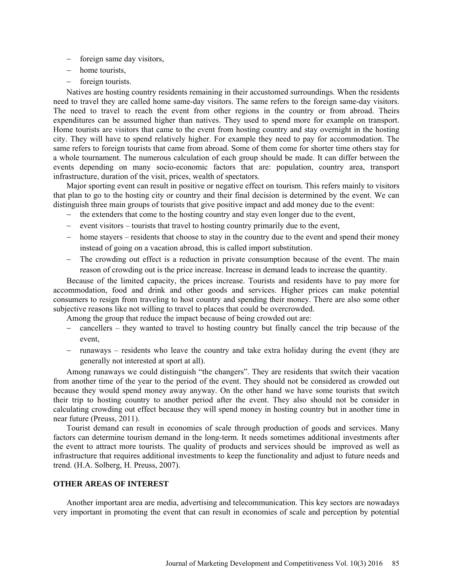- foreign same day visitors,
- home tourists,
- foreign tourists.

Natives are hosting country residents remaining in their accustomed surroundings. When the residents need to travel they are called home same-day visitors. The same refers to the foreign same-day visitors. The need to travel to reach the event from other regions in the country or from abroad. Theirs expenditures can be assumed higher than natives. They used to spend more for example on transport. Home tourists are visitors that came to the event from hosting country and stay overnight in the hosting city. They will have to spend relatively higher. For example they need to pay for accommodation. The same refers to foreign tourists that came from abroad. Some of them come for shorter time others stay for a whole tournament. The numerous calculation of each group should be made. It can differ between the events depending on many socio-economic factors that are: population, country area, transport infrastructure, duration of the visit, prices, wealth of spectators.

Major sporting event can result in positive or negative effect on tourism. This refers mainly to visitors that plan to go to the hosting city or country and their final decision is determined by the event. We can distinguish three main groups of tourists that give positive impact and add money due to the event:

- the extenders that come to the hosting country and stay even longer due to the event,
- $\epsilon$  event visitors tourists that travel to hosting country primarily due to the event,
- home stayers residents that choose to stay in the country due to the event and spend their money instead of going on a vacation abroad, this is called import substitution.
- The crowding out effect is a reduction in private consumption because of the event. The main reason of crowding out is the price increase. Increase in demand leads to increase the quantity.

Because of the limited capacity, the prices increase. Tourists and residents have to pay more for accommodation, food and drink and other goods and services. Higher prices can make potential consumers to resign from traveling to host country and spending their money. There are also some other subjective reasons like not willing to travel to places that could be overcrowded.

Among the group that reduce the impact because of being crowded out are:

- cancellers they wanted to travel to hosting country but finally cancel the trip because of the event,
- runaways residents who leave the country and take extra holiday during the event (they are generally not interested at sport at all).

Among runaways we could distinguish "the changers". They are residents that switch their vacation from another time of the year to the period of the event. They should not be considered as crowded out because they would spend money away anyway. On the other hand we have some tourists that switch their trip to hosting country to another period after the event. They also should not be consider in calculating crowding out effect because they will spend money in hosting country but in another time in near future (Preuss, 2011).

Tourist demand can result in economies of scale through production of goods and services. Many factors can determine tourism demand in the long-term. It needs sometimes additional investments after the event to attract more tourists. The quality of products and services should be improved as well as infrastructure that requires additional investments to keep the functionality and adjust to future needs and trend. (H.A. Solberg, H. Preuss, 2007).

# **OTHER AREAS OF INTEREST**

Another important area are media, advertising and telecommunication. This key sectors are nowadays very important in promoting the event that can result in economies of scale and perception by potential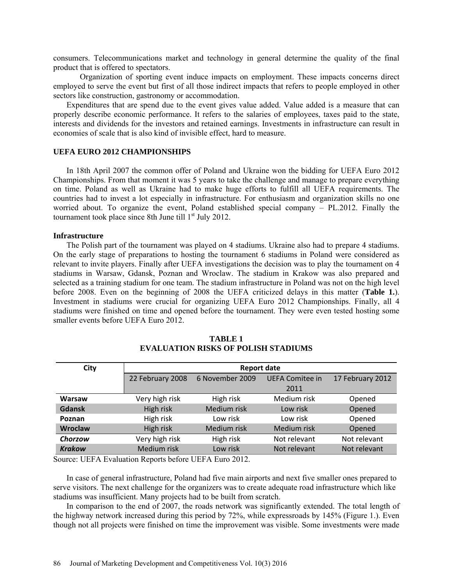consumers. Telecommunications market and technology in general determine the quality of the final product that is offered to spectators.

 Organization of sporting event induce impacts on employment. These impacts concerns direct employed to serve the event but first of all those indirect impacts that refers to people employed in other sectors like construction, gastronomy or accommodation.

Expenditures that are spend due to the event gives value added. Value added is a measure that can properly describe economic performance. It refers to the salaries of employees, taxes paid to the state, interests and dividends for the investors and retained earnings. Investments in infrastructure can result in economies of scale that is also kind of invisible effect, hard to measure.

### **UEFA EURO 2012 CHAMPIONSHIPS**

In 18th April 2007 the common offer of Poland and Ukraine won the bidding for UEFA Euro 2012 Championships. From that moment it was 5 years to take the challenge and manage to prepare everything on time. Poland as well as Ukraine had to make huge efforts to fulfill all UEFA requirements. The countries had to invest a lot especially in infrastructure. For enthusiasm and organization skills no one worried about. To organize the event, Poland established special company – PL.2012. Finally the tournament took place since 8th June till  $1<sup>st</sup>$  July 2012.

#### **Infrastructure**

The Polish part of the tournament was played on 4 stadiums. Ukraine also had to prepare 4 stadiums. On the early stage of preparations to hosting the tournament 6 stadiums in Poland were considered as relevant to invite players. Finally after UEFA investigations the decision was to play the tournament on 4 stadiums in Warsaw, Gdansk, Poznan and Wroclaw. The stadium in Krakow was also prepared and selected as a training stadium for one team. The stadium infrastructure in Poland was not on the high level before 2008. Even on the beginning of 2008 the UEFA criticized delays in this matter (**Table 1.**). Investment in stadiums were crucial for organizing UEFA Euro 2012 Championships. Finally, all 4 stadiums were finished on time and opened before the tournament. They were even tested hosting some smaller events before UEFA Euro 2012.

| City          | <b>Report date</b> |                 |                        |                  |  |  |  |  |  |
|---------------|--------------------|-----------------|------------------------|------------------|--|--|--|--|--|
|               | 22 February 2008   | 6 November 2009 | <b>UEFA Comitee in</b> | 17 February 2012 |  |  |  |  |  |
|               |                    | 2011            |                        |                  |  |  |  |  |  |
| Warsaw        | Very high risk     | High risk       | Medium risk            | Opened           |  |  |  |  |  |
| <b>Gdansk</b> | High risk          | Medium risk     | Low risk               | Opened           |  |  |  |  |  |
| Poznan        | High risk          | Low risk        | Low risk               | Opened           |  |  |  |  |  |
| Wroclaw       | High risk          | Medium risk     | Medium risk            | Opened           |  |  |  |  |  |
| Chorzow       | Very high risk     | High risk       | Not relevant           | Not relevant     |  |  |  |  |  |
| <b>Krakow</b> | Medium risk        | Low risk        | Not relevant           | Not relevant     |  |  |  |  |  |

**TABLE 1 EVALUATION RISKS OF POLISH STADIUMS** 

Source: UEFA Evaluation Reports before UEFA Euro 2012.

In case of general infrastructure, Poland had five main airports and next five smaller ones prepared to serve visitors. The next challenge for the organizers was to create adequate road infrastructure which like stadiums was insufficient. Many projects had to be built from scratch.

In comparison to the end of 2007, the roads network was significantly extended. The total length of the highway network increased during this period by 72%, while expressroads by 145% (Figure 1.). Even though not all projects were finished on time the improvement was visible. Some investments were made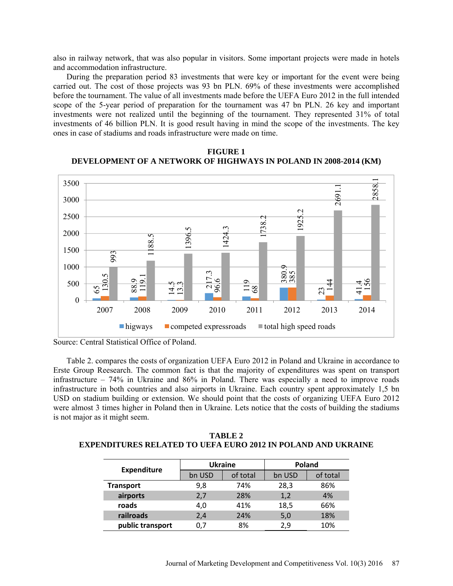also in railway network, that was also popular in visitors. Some important projects were made in hotels and accommodation infrastructure.

During the preparation period 83 investments that were key or important for the event were being carried out. The cost of those projects was 93 bn PLN. 69% of these investments were accomplished before the tournament. The value of all investments made before the UEFA Euro 2012 in the full intended scope of the 5-year period of preparation for the tournament was 47 bn PLN. 26 key and important investments were not realized until the beginning of the tournament. They represented 31% of total investments of 46 billion PLN. It is good result having in mind the scope of the investments. The key ones in case of stadiums and roads infrastructure were made on time.



**FIGURE 1 DEVELOPMENT OF A NETWORK OF HIGHWAYS IN POLAND IN 2008-2014 (KM)** 

Table 2. compares the costs of organization UEFA Euro 2012 in Poland and Ukraine in accordance to Erste Group Reesearch. The common fact is that the majority of expenditures was spent on transport infrastructure – 74% in Ukraine and 86% in Poland. There was especially a need to improve roads infrastructure in both countries and also airports in Ukraine. Each country spent approximately 1,5 bn USD on stadium building or extension. We should point that the costs of organizing UEFA Euro 2012 were almost 3 times higher in Poland then in Ukraine. Lets notice that the costs of building the stadiums is not major as it might seem.

| TABLE 2                                                             |
|---------------------------------------------------------------------|
| <b>EXPENDITURES RELATED TO UEFA EURO 2012 IN POLAND AND UKRAINE</b> |

|                    |        | <b>Ukraine</b> | <b>Poland</b> |          |  |  |
|--------------------|--------|----------------|---------------|----------|--|--|
| <b>Expenditure</b> | bn USD | of total       | bn USD        | of total |  |  |
| <b>Transport</b>   | 9,8    | 74%            | 28,3          | 86%      |  |  |
| airports           | 2,7    | 28%            | 1,2           | 4%       |  |  |
| roads              | 4,0    | 41%            | 18,5          | 66%      |  |  |
| railroads          | 2,4    | 24%            | 5,0           | 18%      |  |  |
| public transport   | 0.7    | 8%             | 2.9           | 10%      |  |  |

Source: Central Statistical Office of Poland.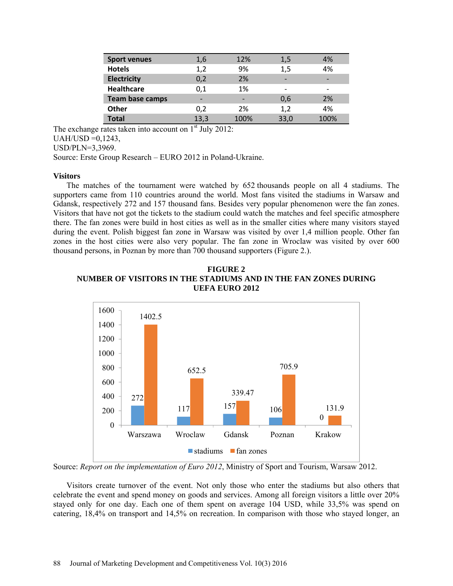| <b>Sport venues</b>    | 1,6  | 12%  | 1,5                      | 4%   |
|------------------------|------|------|--------------------------|------|
| <b>Hotels</b>          | 1,2  | 9%   | 1,5                      | 4%   |
| <b>Electricity</b>     | 0,2  | 2%   | $\overline{\phantom{0}}$ |      |
| <b>Healthcare</b>      | 0,1  | 1%   | $\overline{\phantom{0}}$ |      |
| <b>Team base camps</b> |      | -    | 0,6                      | 2%   |
| <b>Other</b>           | 0,2  | 2%   | 1,2                      | 4%   |
| <b>Total</b>           | 13,3 | 100% | 33,0                     | 100% |

The exchange rates taken into account on  $1<sup>st</sup>$  July 2012:  $UAH/USD = 0,1243,$ USD/PLN=3,3969. Source: Erste Group Research – EURO 2012 in Poland-Ukraine.

### **Visitors**

The matches of the tournament were watched by 652 thousands people on all 4 stadiums. The supporters came from 110 countries around the world. Most fans visited the stadiums in Warsaw and Gdansk, respectively 272 and 157 thousand fans. Besides very popular phenomenon were the fan zones. Visitors that have not got the tickets to the stadium could watch the matches and feel specific atmosphere there. The fan zones were build in host cities as well as in the smaller cities where many visitors stayed during the event. Polish biggest fan zone in Warsaw was visited by over 1,4 million people. Other fan zones in the host cities were also very popular. The fan zone in Wroclaw was visited by over 600 thousand persons, in Poznan by more than 700 thousand supporters (Figure 2.).





Source: *Report on the implementation of Euro 2012*, Ministry of Sport and Tourism, Warsaw 2012.

Visitors create turnover of the event. Not only those who enter the stadiums but also others that celebrate the event and spend money on goods and services. Among all foreign visitors a little over 20% stayed only for one day. Each one of them spent on average 104 USD, while 33,5% was spend on catering, 18,4% on transport and 14,5% on recreation. In comparison with those who stayed longer, an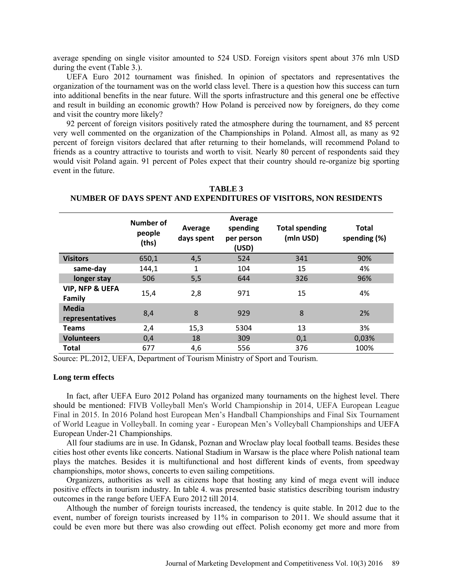average spending on single visitor amounted to 524 USD. Foreign visitors spent about 376 mln USD during the event (Table 3.).

UEFA Euro 2012 tournament was finished. In opinion of spectators and representatives the organization of the tournament was on the world class level. There is a question how this success can turn into additional benefits in the near future. Will the sports infrastructure and this general one be effective and result in building an economic growth? How Poland is perceived now by foreigners, do they come and visit the country more likely?

92 percent of foreign visitors positively rated the atmosphere during the tournament, and 85 percent very well commented on the organization of the Championships in Poland. Almost all, as many as 92 percent of foreign visitors declared that after returning to their homelands, will recommend Poland to friends as a country attractive to tourists and worth to visit. Nearly 80 percent of respondents said they would visit Poland again. 91 percent of Poles expect that their country should re-organize big sporting event in the future.

|                                      | Number of<br>people<br>(ths) | Average<br>days spent | Average<br><b>Total spending</b><br>spending<br>(mln USD)<br>per person<br>(USD) |     | <b>Total</b><br>spending (%) |
|--------------------------------------|------------------------------|-----------------------|----------------------------------------------------------------------------------|-----|------------------------------|
| <b>Visitors</b>                      | 650,1                        | 4,5                   | 524                                                                              | 341 | 90%                          |
| same-day                             | 144,1                        | 1                     | 104                                                                              | 15  | 4%                           |
| longer stay                          | 506                          | 5,5                   | 644                                                                              | 326 | 96%                          |
| <b>VIP, NFP &amp; UEFA</b><br>Family | 15,4                         | 2,8                   | 971                                                                              | 15  | 4%                           |
| <b>Media</b><br>representatives      | 8,4                          | 8                     | 929                                                                              | 8   | 2%                           |
| Teams                                | 2,4                          | 15,3                  | 5304                                                                             | 13  | 3%                           |
| <b>Volunteers</b>                    | 0,4                          | 18                    | 309                                                                              | 0,1 | 0,03%                        |
| <b>Total</b>                         | 677                          | 4,6                   | 556                                                                              | 376 | 100%                         |

**TABLE 3 NUMBER OF DAYS SPENT AND EXPENDITURES OF VISITORS, NON RESIDENTS** 

Source: PL.2012, UEFA, Department of Tourism Ministry of Sport and Tourism.

#### **Long term effects**

In fact, after UEFA Euro 2012 Poland has organized many tournaments on the highest level. There should be mentioned: FIVB Volleyball Men's World Championship in 2014, UEFA European League Final in 2015. In 2016 Poland host European Men's Handball Championships and Final Six Tournament of World League in Volleyball. In coming year - European Men's Volleyball Championships and UEFA European Under-21 Championships.

All four stadiums are in use. In Gdansk, Poznan and Wroclaw play local football teams. Besides these cities host other events like concerts. National Stadium in Warsaw is the place where Polish national team plays the matches. Besides it is multifunctional and host different kinds of events, from speedway championships, motor shows, concerts to even sailing competitions.

Organizers, authorities as well as citizens hope that hosting any kind of mega event will induce positive effects in tourism industry. In table 4. was presented basic statistics describing tourism industry outcomes in the range before UEFA Euro 2012 till 2014.

Although the number of foreign tourists increased, the tendency is quite stable. In 2012 due to the event, number of foreign tourists increased by 11% in comparison to 2011. We should assume that it could be even more but there was also crowding out effect. Polish economy get more and more from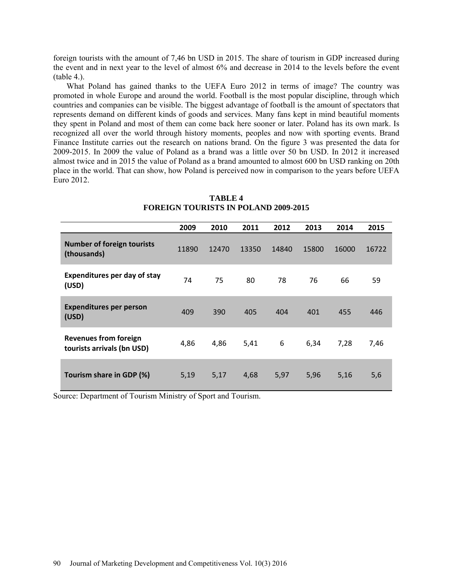foreign tourists with the amount of 7,46 bn USD in 2015. The share of tourism in GDP increased during the event and in next year to the level of almost 6% and decrease in 2014 to the levels before the event (table 4.).

What Poland has gained thanks to the UEFA Euro 2012 in terms of image? The country was promoted in whole Europe and around the world. Football is the most popular discipline, through which countries and companies can be visible. The biggest advantage of football is the amount of spectators that represents demand on different kinds of goods and services. Many fans kept in mind beautiful moments they spent in Poland and most of them can come back here sooner or later. Poland has its own mark. Is recognized all over the world through history moments, peoples and now with sporting events. Brand Finance Institute carries out the research on nations brand. On the figure 3 was presented the data for 2009-2015. In 2009 the value of Poland as a brand was a little over 50 bn USD. In 2012 it increased almost twice and in 2015 the value of Poland as a brand amounted to almost 600 bn USD ranking on 20th place in the world. That can show, how Poland is perceived now in comparison to the years before UEFA Euro 2012.

|                                                            | 2009  | 2010  | 2011  | 2012  | 2013  | 2014  | 2015  |
|------------------------------------------------------------|-------|-------|-------|-------|-------|-------|-------|
| <b>Number of foreign tourists</b><br>(thousands)           | 11890 | 12470 | 13350 | 14840 | 15800 | 16000 | 16722 |
| <b>Expenditures per day of stay</b><br>(USD)               | 74    | 75    | 80    | 78    | 76    | 66    | 59    |
| <b>Expenditures per person</b><br>(USD)                    | 409   | 390   | 405   | 404   | 401   | 455   | 446   |
| <b>Revenues from foreign</b><br>tourists arrivals (bn USD) | 4,86  | 4,86  | 5,41  | 6     | 6,34  | 7,28  | 7,46  |
| Tourism share in GDP (%)                                   | 5,19  | 5,17  | 4,68  | 5,97  | 5,96  | 5,16  | 5,6   |

**TABLE 4 FOREIGN TOURISTS IN POLAND 2009-2015** 

Source: Department of Tourism Ministry of Sport and Tourism.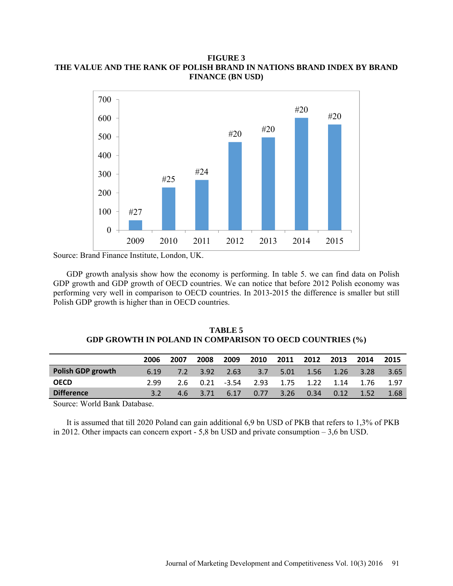# **FIGURE 3 THE VALUE AND THE RANK OF POLISH BRAND IN NATIONS BRAND INDEX BY BRAND FINANCE (BN USD)**



Source: Brand Finance Institute, London, UK.

GDP growth analysis show how the economy is performing. In table 5. we can find data on Polish GDP growth and GDP growth of OECD countries. We can notice that before 2012 Polish economy was performing very well in comparison to OECD countries. In 2013-2015 the difference is smaller but still Polish GDP growth is higher than in OECD countries.

| <b>TABLE 5</b>                                                  |  |
|-----------------------------------------------------------------|--|
| <b>GDP GROWTH IN POLAND IN COMPARISON TO OECD COUNTRIES (%)</b> |  |

|                          | 2006 | 2007 | 2008 | 2009  | 2010    | 2011 | 2012 | 2013 | 2014 | 2015 |
|--------------------------|------|------|------|-------|---------|------|------|------|------|------|
| <b>Polish GDP growth</b> | 6.19 | 7.2  | 3.92 | 2.63  | $-3.7-$ | 5.01 | 1.56 | 1.26 | 3.28 | 3.65 |
| <b>OECD</b>              | 2.99 | 2.6  | 0.21 | -3.54 | 2.93    | 1.75 | 1.22 | 1.14 | 1.76 | 1.97 |
| <b>Difference</b>        |      | 4.6  | 3.71 | 6.17  | 0.77    | 3.26 | 0.34 | 0.12 | 1.52 | 1.68 |
|                          |      |      |      |       |         |      |      |      |      |      |

Source: World Bank Database.

It is assumed that till 2020 Poland can gain additional 6,9 bn USD of PKB that refers to 1,3% of PKB in 2012. Other impacts can concern export - 5,8 bn USD and private consumption – 3,6 bn USD.